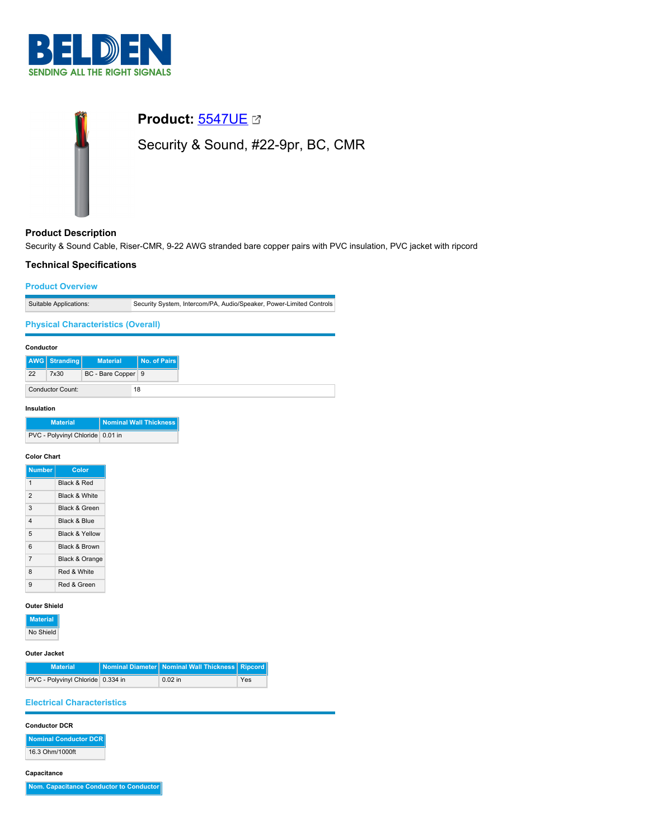



# **Product Description**

Security & Sound Cable, Riser-CMR, 9-22 AWG stranded bare copper pairs with PVC insulation, PVC jacket with ripcord

# **Technical Specifications**

### **Product Overview**

| Suitable Applications: | Security System, Intercom/PA, Audio/Speaker, Power-Limited Controls |
|------------------------|---------------------------------------------------------------------|

### **Physical Characteristics (Overall)**

| Conductor |                  |                    |              |
|-----------|------------------|--------------------|--------------|
|           | AWG   Stranding  | <b>Material</b>    | No. of Pairs |
| 22        | 7x30             | BC - Bare Copper 9 |              |
|           | Conductor Count: |                    | 18           |

### **Insulation**

| <b>Material</b>                  | Nominal Wall Thickness |
|----------------------------------|------------------------|
| PVC - Polyvinyl Chloride 0.01 in |                        |

### **Color Chart**

| <b>Number</b>           | Color                     |
|-------------------------|---------------------------|
| 1                       | Black & Red               |
| $\overline{2}$          | Black & White             |
| 3                       | <b>Black &amp; Green</b>  |
| $\overline{\mathbf{A}}$ | Black & Blue              |
| 5                       | <b>Black &amp; Yellow</b> |
| 6                       | <b>Black &amp; Brown</b>  |
| $\overline{7}$          | Black & Orange            |
| 8                       | Red & White               |
| 9                       | Red & Green               |

# **Outer Shield**

| <b>Material</b> |
|-----------------|
| No Shield       |

### **Outer Jacket**

| <b>Material</b>                   | Nominal Diameter   Nominal Wall Thickness   Ripcord |     |
|-----------------------------------|-----------------------------------------------------|-----|
| PVC - Polyvinyl Chloride 0.334 in | $0.02$ in                                           | Yes |

# **Electrical Characteristics**

### **Conductor DCR**

**Nominal Conductor DCR** 16.3 Ohm/1000ft

**Capacitance**

**Nom. Capacitance Conductor to Conductor**